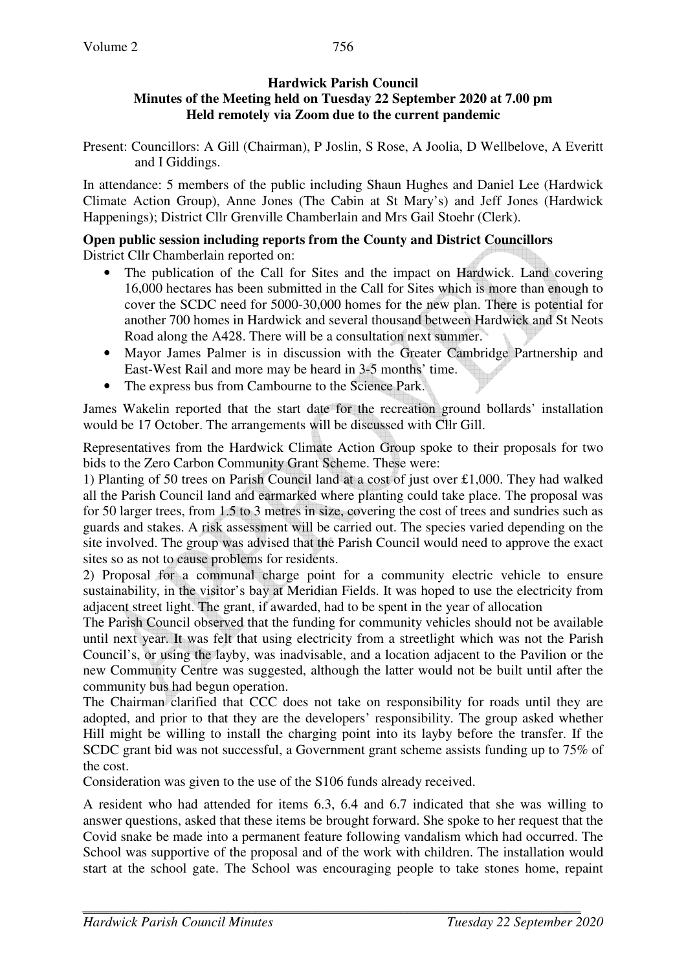## **Hardwick Parish Council Minutes of the Meeting held on Tuesday 22 September 2020 at 7.00 pm Held remotely via Zoom due to the current pandemic**

Present: Councillors: A Gill (Chairman), P Joslin, S Rose, A Joolia, D Wellbelove, A Everitt and I Giddings.

In attendance: 5 members of the public including Shaun Hughes and Daniel Lee (Hardwick Climate Action Group), Anne Jones (The Cabin at St Mary's) and Jeff Jones (Hardwick Happenings); District Cllr Grenville Chamberlain and Mrs Gail Stoehr (Clerk).

## **Open public session including reports from the County and District Councillors**  District Cllr Chamberlain reported on:

- The publication of the Call for Sites and the impact on Hardwick. Land covering 16,000 hectares has been submitted in the Call for Sites which is more than enough to cover the SCDC need for 5000-30,000 homes for the new plan. There is potential for another 700 homes in Hardwick and several thousand between Hardwick and St Neots Road along the A428. There will be a consultation next summer.
- Mayor James Palmer is in discussion with the Greater Cambridge Partnership and East-West Rail and more may be heard in 3-5 months' time.
- The express bus from Cambourne to the Science Park.

James Wakelin reported that the start date for the recreation ground bollards' installation would be 17 October. The arrangements will be discussed with Cllr Gill.

Representatives from the Hardwick Climate Action Group spoke to their proposals for two bids to the Zero Carbon Community Grant Scheme. These were:

1) Planting of 50 trees on Parish Council land at a cost of just over £1,000. They had walked all the Parish Council land and earmarked where planting could take place. The proposal was for 50 larger trees, from 1.5 to 3 metres in size, covering the cost of trees and sundries such as guards and stakes. A risk assessment will be carried out. The species varied depending on the site involved. The group was advised that the Parish Council would need to approve the exact sites so as not to cause problems for residents.

2) Proposal for a communal charge point for a community electric vehicle to ensure sustainability, in the visitor's bay at Meridian Fields. It was hoped to use the electricity from adjacent street light. The grant, if awarded, had to be spent in the year of allocation

The Parish Council observed that the funding for community vehicles should not be available until next year. It was felt that using electricity from a streetlight which was not the Parish Council's, or using the layby, was inadvisable, and a location adjacent to the Pavilion or the new Community Centre was suggested, although the latter would not be built until after the community bus had begun operation.

The Chairman clarified that CCC does not take on responsibility for roads until they are adopted, and prior to that they are the developers' responsibility. The group asked whether Hill might be willing to install the charging point into its layby before the transfer. If the SCDC grant bid was not successful, a Government grant scheme assists funding up to 75% of the cost.

Consideration was given to the use of the S106 funds already received.

A resident who had attended for items 6.3, 6.4 and 6.7 indicated that she was willing to answer questions, asked that these items be brought forward. She spoke to her request that the Covid snake be made into a permanent feature following vandalism which had occurred. The School was supportive of the proposal and of the work with children. The installation would start at the school gate. The School was encouraging people to take stones home, repaint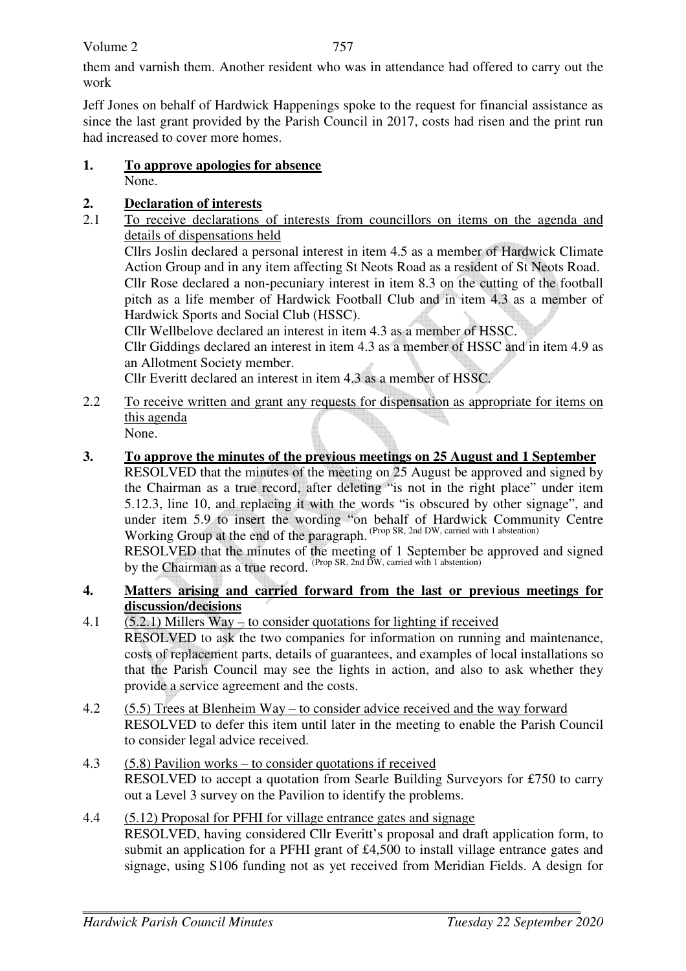Volume 2

them and varnish them. Another resident who was in attendance had offered to carry out the work

Jeff Jones on behalf of Hardwick Happenings spoke to the request for financial assistance as since the last grant provided by the Parish Council in 2017, costs had risen and the print run had increased to cover more homes.

### **1. To approve apologies for absence** None.

# **2. Declaration of interests**

2.1 To receive declarations of interests from councillors on items on the agenda and details of dispensations held

Cllrs Joslin declared a personal interest in item 4.5 as a member of Hardwick Climate Action Group and in any item affecting St Neots Road as a resident of St Neots Road.

Cllr Rose declared a non-pecuniary interest in item 8.3 on the cutting of the football pitch as a life member of Hardwick Football Club and in item 4.3 as a member of Hardwick Sports and Social Club (HSSC).

Cllr Wellbelove declared an interest in item 4.3 as a member of HSSC.

Cllr Giddings declared an interest in item 4.3 as a member of HSSC and in item 4.9 as an Allotment Society member.

Cllr Everitt declared an interest in item 4.3 as a member of HSSC.

- 2.2 To receive written and grant any requests for dispensation as appropriate for items on this agenda None.
- **3. To approve the minutes of the previous meetings on 25 August and 1 September**  RESOLVED that the minutes of the meeting on 25 August be approved and signed by the Chairman as a true record, after deleting "is not in the right place" under item 5.12.3, line 10, and replacing it with the words "is obscured by other signage", and under item 5.9 to insert the wording "on behalf of Hardwick Community Centre Working Group at the end of the paragraph. (Prop SR, 2nd DW, carried with 1 abstention) RESOLVED that the minutes of the meeting of 1 September be approved and signed by the Chairman as a true record. (Prop SR, 2nd DW, carried with 1 abstention)
- **4. Matters arising and carried forward from the last or previous meetings for discussion/decisions**
- 4.1 (5.2.1) Millers Way to consider quotations for lighting if received RESOLVED to ask the two companies for information on running and maintenance, costs of replacement parts, details of guarantees, and examples of local installations so that the Parish Council may see the lights in action, and also to ask whether they provide a service agreement and the costs.
- 4.2 (5.5) Trees at Blenheim Way to consider advice received and the way forward RESOLVED to defer this item until later in the meeting to enable the Parish Council to consider legal advice received.
- 4.3 (5.8) Pavilion works to consider quotations if received RESOLVED to accept a quotation from Searle Building Surveyors for £750 to carry out a Level 3 survey on the Pavilion to identify the problems.
- 4.4 (5.12) Proposal for PFHI for village entrance gates and signage RESOLVED, having considered Cllr Everitt's proposal and draft application form, to submit an application for a PFHI grant of £4,500 to install village entrance gates and signage, using S106 funding not as yet received from Meridian Fields. A design for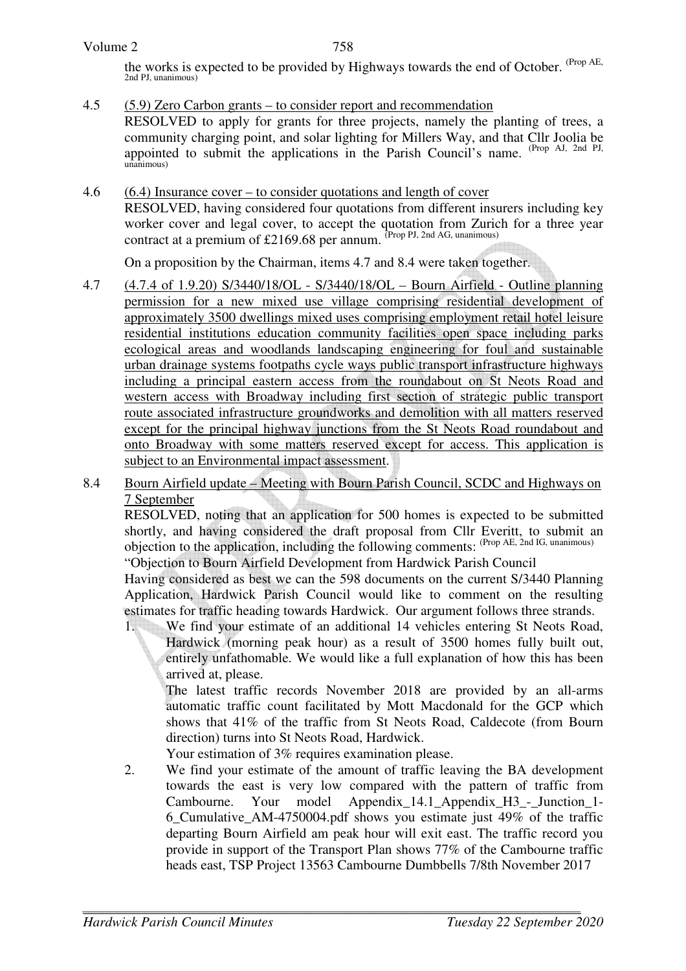the works is expected to be provided by Highways towards the end of October. <sup>(Prop AE</sup>, 2nd PJ, unanimous)

4.5 (5.9) Zero Carbon grants – to consider report and recommendation RESOLVED to apply for grants for three projects, namely the planting of trees, a community charging point, and solar lighting for Millers Way, and that Cllr Joolia be appointed to submit the applications in the Parish Council's name. (Prop AJ, 2nd PJ, unanimous)

### 4.6 (6.4) Insurance cover – to consider quotations and length of cover

RESOLVED, having considered four quotations from different insurers including key worker cover and legal cover, to accept the quotation from Zurich for a three year contract at a premium of £2169.68 per annum. (Prop PJ, 2nd AG, unanimous)

On a proposition by the Chairman, items 4.7 and 8.4 were taken together.

- 4.7 (4.7.4 of 1.9.20) S/3440/18/OL S/3440/18/OL Bourn Airfield Outline planning permission for a new mixed use village comprising residential development of approximately 3500 dwellings mixed uses comprising employment retail hotel leisure residential institutions education community facilities open space including parks ecological areas and woodlands landscaping engineering for foul and sustainable urban drainage systems footpaths cycle ways public transport infrastructure highways including a principal eastern access from the roundabout on St Neots Road and western access with Broadway including first section of strategic public transport route associated infrastructure groundworks and demolition with all matters reserved except for the principal highway junctions from the St Neots Road roundabout and onto Broadway with some matters reserved except for access. This application is subject to an Environmental impact assessment.
- 8.4 Bourn Airfield update Meeting with Bourn Parish Council, SCDC and Highways on 7 September

RESOLVED, noting that an application for 500 homes is expected to be submitted shortly, and having considered the draft proposal from Cllr Everitt, to submit an objection to the application, including the following comments: (Prop AE, 2nd IG, unanimous)

"Objection to Bourn Airfield Development from Hardwick Parish Council

Having considered as best we can the 598 documents on the current S/3440 Planning Application, Hardwick Parish Council would like to comment on the resulting estimates for traffic heading towards Hardwick. Our argument follows three strands.

1. We find your estimate of an additional 14 vehicles entering St Neots Road, Hardwick (morning peak hour) as a result of 3500 homes fully built out, entirely unfathomable. We would like a full explanation of how this has been arrived at, please.

The latest traffic records November 2018 are provided by an all-arms automatic traffic count facilitated by Mott Macdonald for the GCP which shows that 41% of the traffic from St Neots Road, Caldecote (from Bourn direction) turns into St Neots Road, Hardwick.

- Your estimation of 3% requires examination please.
- 2. We find your estimate of the amount of traffic leaving the BA development towards the east is very low compared with the pattern of traffic from Cambourne. Your model Appendix 14.1 Appendix H3 - Junction 1-6\_Cumulative\_AM-4750004.pdf shows you estimate just 49% of the traffic departing Bourn Airfield am peak hour will exit east. The traffic record you provide in support of the Transport Plan shows 77% of the Cambourne traffic heads east, TSP Project 13563 Cambourne Dumbbells 7/8th November 2017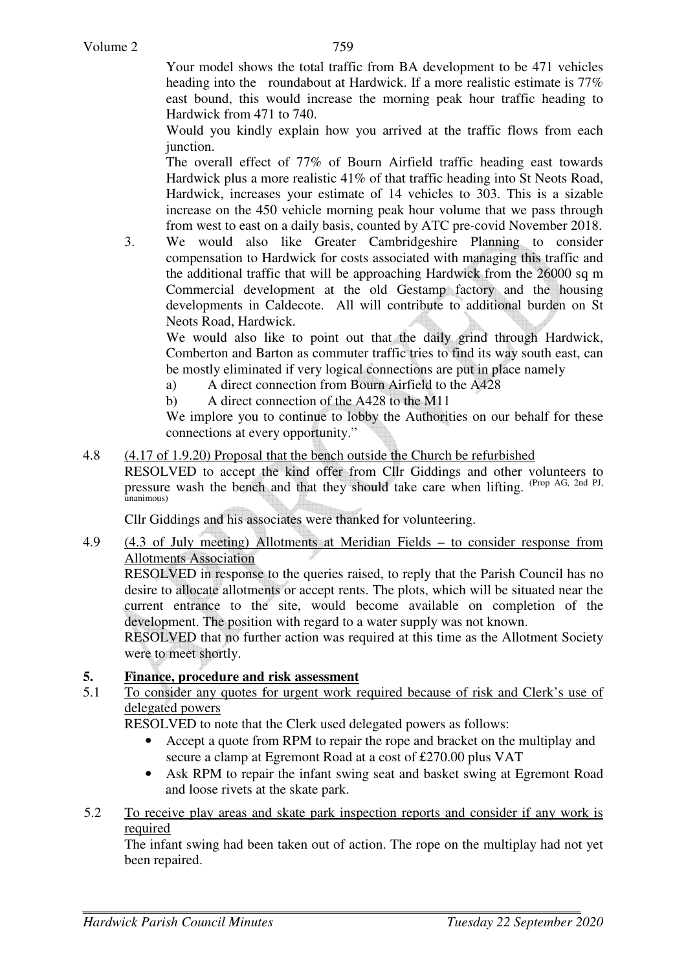Your model shows the total traffic from BA development to be 471 vehicles heading into the roundabout at Hardwick. If a more realistic estimate is 77% east bound, this would increase the morning peak hour traffic heading to Hardwick from 471 to 740.

Would you kindly explain how you arrived at the traffic flows from each junction.

The overall effect of 77% of Bourn Airfield traffic heading east towards Hardwick plus a more realistic 41% of that traffic heading into St Neots Road, Hardwick, increases your estimate of 14 vehicles to 303. This is a sizable increase on the 450 vehicle morning peak hour volume that we pass through from west to east on a daily basis, counted by ATC pre-covid November 2018.

3. We would also like Greater Cambridgeshire Planning to consider compensation to Hardwick for costs associated with managing this traffic and the additional traffic that will be approaching Hardwick from the 26000 sq m Commercial development at the old Gestamp factory and the housing developments in Caldecote. All will contribute to additional burden on St Neots Road, Hardwick.

We would also like to point out that the daily grind through Hardwick, Comberton and Barton as commuter traffic tries to find its way south east, can be mostly eliminated if very logical connections are put in place namely

- a) A direct connection from Bourn Airfield to the A428
- b) A direct connection of the A428 to the M11

We implore you to continue to lobby the Authorities on our behalf for these connections at every opportunity."

4.8 (4.17 of 1.9.20) Proposal that the bench outside the Church be refurbished

RESOLVED to accept the kind offer from Cllr Giddings and other volunteers to pressure wash the bench and that they should take care when lifting. (Prop AG, 2nd PJ, unanimous)

Cllr Giddings and his associates were thanked for volunteering.

4.9 (4.3 of July meeting) Allotments at Meridian Fields – to consider response from Allotments Association

RESOLVED in response to the queries raised, to reply that the Parish Council has no desire to allocate allotments or accept rents. The plots, which will be situated near the current entrance to the site, would become available on completion of the development. The position with regard to a water supply was not known.

RESOLVED that no further action was required at this time as the Allotment Society were to meet shortly.

#### **5. Finance, procedure and risk assessment**

5.1 To consider any quotes for urgent work required because of risk and Clerk's use of delegated powers

RESOLVED to note that the Clerk used delegated powers as follows:

- Accept a quote from RPM to repair the rope and bracket on the multiplay and secure a clamp at Egremont Road at a cost of £270.00 plus VAT
- Ask RPM to repair the infant swing seat and basket swing at Egremont Road and loose rivets at the skate park.
- 5.2 To receive play areas and skate park inspection reports and consider if any work is required

 The infant swing had been taken out of action. The rope on the multiplay had not yet been repaired.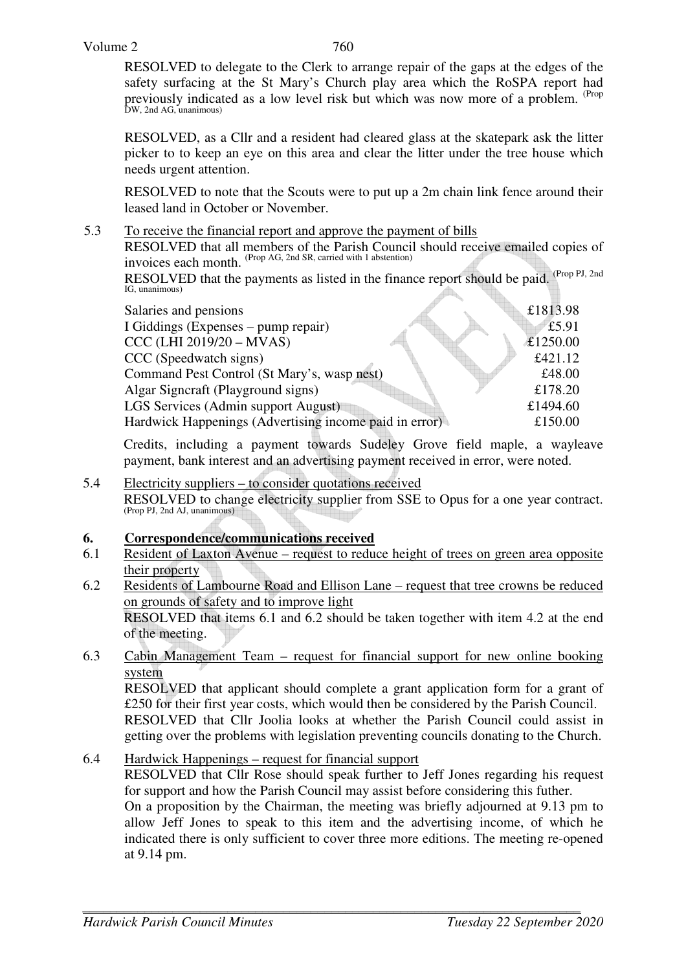RESOLVED to delegate to the Clerk to arrange repair of the gaps at the edges of the safety surfacing at the St Mary's Church play area which the RoSPA report had previously indicated as a low level risk but which was now more of a problem. <sup>(Prop</sup> DW, 2nd AG, unanimous)

RESOLVED, as a Cllr and a resident had cleared glass at the skatepark ask the litter picker to to keep an eye on this area and clear the litter under the tree house which needs urgent attention.

RESOLVED to note that the Scouts were to put up a 2m chain link fence around their leased land in October or November.

5.3 To receive the financial report and approve the payment of bills

RESOLVED that all members of the Parish Council should receive emailed copies of invoices each month. (Prop AG, 2nd SR, carried with 1 abstention)

RESOLVED that the payments as listed in the finance report should be paid. (Prop PJ, 2nd IG, unanimous) IG, unanimous)

| Salaries and pensions                                  |          | £1813.98 |
|--------------------------------------------------------|----------|----------|
| I Giddings (Expenses – pump repair)                    |          | £5.91    |
| CCC (LHI 2019/20 - MVAS)                               | £1250.00 |          |
| CCC (Speedwatch signs)                                 |          | £421.12  |
| Command Pest Control (St Mary's, wasp nest)            |          | £48.00   |
| Algar Signeraft (Playground signs)                     |          | £178.20  |
| LGS Services (Admin support August)                    |          | £1494.60 |
| Hardwick Happenings (Advertising income paid in error) |          | £150.00  |
|                                                        |          |          |

 Credits, including a payment towards Sudeley Grove field maple, a wayleave payment, bank interest and an advertising payment received in error, were noted.

5.4 Electricity suppliers – to consider quotations received RESOLVED to change electricity supplier from SSE to Opus for a one year contract. (Prop PJ, 2nd AJ, unanimous)

## **6. Correspondence/communications received**

- 6.1 Resident of Laxton Avenue request to reduce height of trees on green area opposite their property
- 6.2 Residents of Lambourne Road and Ellison Lane request that tree crowns be reduced on grounds of safety and to improve light RESOLVED that items 6.1 and 6.2 should be taken together with item 4.2 at the end of the meeting.
- 6.3 Cabin Management Team request for financial support for new online booking system

 RESOLVED that applicant should complete a grant application form for a grant of £250 for their first year costs, which would then be considered by the Parish Council. RESOLVED that Cllr Joolia looks at whether the Parish Council could assist in getting over the problems with legislation preventing councils donating to the Church.

6.4 Hardwick Happenings – request for financial support RESOLVED that Cllr Rose should speak further to Jeff Jones regarding his request for support and how the Parish Council may assist before considering this futher. On a proposition by the Chairman, the meeting was briefly adjourned at 9.13 pm to allow Jeff Jones to speak to this item and the advertising income, of which he indicated there is only sufficient to cover three more editions. The meeting re-opened at 9.14 pm.